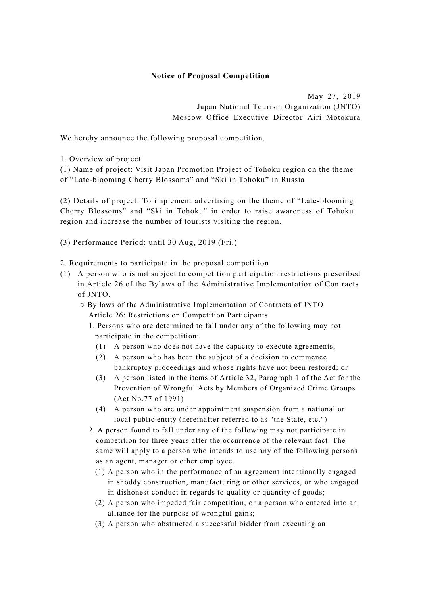## **Notice of Proposal Competition**

May 27, 2019 Japan National Tourism Organization (JNTO) Moscow Office Executive Director Airi Motokura

We hereby announce the following proposal competition.

1. Overview of project

(1) Name of project: Visit Japan Promotion Project of Tohoku region on the theme of "Late-blooming Cherry Blossoms" and "Ski in Tohoku" in Russia

(2) Details of project: To implement advertising on the theme of "Late-blooming Cherry Blossoms" and "Ski in Tohoku" in order to raise awareness of Tohoku region and increase the number of tourists visiting the region.

(3) Performance Period: until 30 Aug, 2019 (Fri.)

2. Requirements to participate in the proposal competition

- (1) A person who is not subject to competition participation restrictions prescribed in Article 26 of the Bylaws of the Administrative Implementation of Contracts of JNTO.
	- By laws of the Administrative Implementation of Contracts of JNTO Article 26: Restrictions on Competition Participants
		- 1. Persons who are determined to fall under any of the following may not participate in the competition:
			- (1) A person who does not have the capacity to execute agreements;
			- (2) A person who has been the subject of a decision to commence bankruptcy proceedings and whose rights have not been restored; or
			- (3) A person listed in the items of Article 32, Paragraph 1 of the Act for the Prevention of Wrongful Acts by Members of Organized Crime Groups (Act No.77 of 1991)
			- (4) A person who are under appointment suspension from a national or local public entity (hereinafter referred to as "the State, etc.")
		- 2. A person found to fall under any of the following may not participate in competition for three years after the occurrence of the relevant fact. The same will apply to a person who intends to use any of the following persons as an agent, manager or other employee.
			- (1) A person who in the performance of an agreement intentionally engaged in shoddy construction, manufacturing or other services, or who engaged in dishonest conduct in regards to quality or quantity of goods;
			- (2) A person who impeded fair competition, or a person who entered into an alliance for the purpose of wrongful gains;
			- (3) A person who obstructed a successful bidder from executing an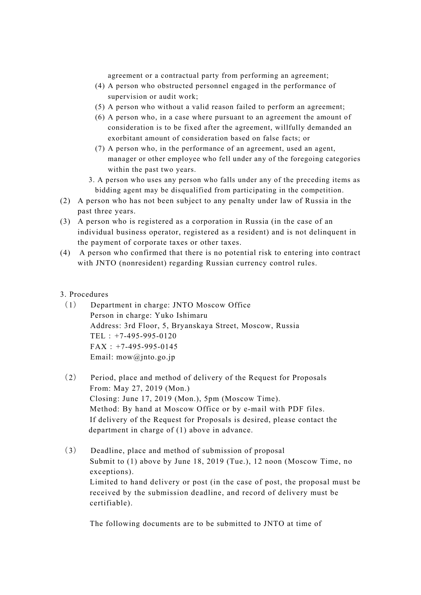agreement or a contractual party from performing an agreement;

- (4) A person who obstructed personnel engaged in the performance of supervision or audit work;
- (5) A person who without a valid reason failed to perform an agreement;
- (6) A person who, in a case where pursuant to an agreement the amount of consideration is to be fixed after the agreement, willfully demanded an exorbitant amount of consideration based on false facts; or
- (7) A person who, in the performance of an agreement, used an agent, manager or other employee who fell under any of the foregoing categories within the past two years.
- 3. A person who uses any person who falls under any of the preceding items as bidding agent may be disqualified from participating in the competition.
- (2) A person who has not been subject to any penalty under law of Russia in the past three years.
- (3) A person who is registered as a corporation in Russia (in the case of an individual business operator, registered as a resident) and is not delinquent in the payment of corporate taxes or other taxes.
- (4) A person who confirmed that there is no potential risk to entering into contract with JNTO (nonresident) regarding Russian currency control rules.

## 3. Procedures

- (1) Department in charge: JNTO Moscow Office Person in charge: Yuko Ishimaru Address: 3rd Floor, 5, Bryanskaya Street, Moscow, Russia TEL:+7-495-995-0120  $FAX: +7-495-995-0145$ Email: mow@jnto.go.jp
- (2) Period, place and method of delivery of the Request for Proposals From: May 27, 2019 (Mon.) Closing: June 17, 2019 (Mon.), 5pm (Moscow Time). Method: By hand at Moscow Office or by e-mail with PDF files. If delivery of the Request for Proposals is desired, please contact the department in charge of (1) above in advance.
- (3) Deadline, place and method of submission of proposal Submit to (1) above by June 18, 2019 (Tue.), 12 noon (Moscow Time, no exceptions). Limited to hand delivery or post (in the case of post, the proposal must be received by the submission deadline, and record of delivery must be certifiable).

The following documents are to be submitted to JNTO at time of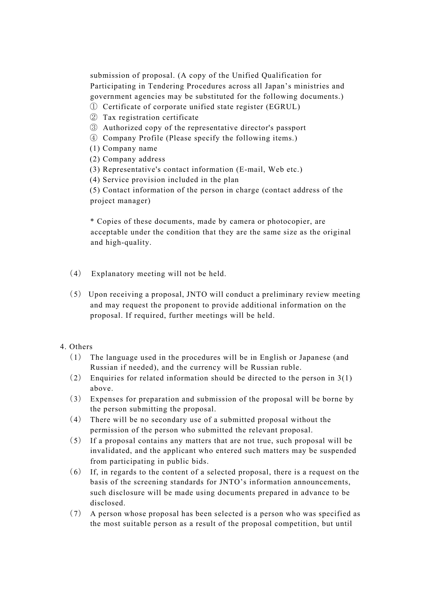submission of proposal. (A copy of the Unified Qualification for Participating in Tendering Procedures across all Japan's ministries and government agencies may be substituted for the following documents.)

- ① Certificate of corporate unified state register (EGRUL)
- ② Tax registration certificate
- ③ Authorized copy of the representative director's passport
- ④ Company Profile (Please specify the following items.)
- (1) Company name
- (2) Company address
- (3) Representative's contact information (E-mail, Web etc.)
- (4) Service provision included in the plan

(5) Contact information of the person in charge (contact address of the project manager)

\* Copies of these documents, made by camera or photocopier, are acceptable under the condition that they are the same size as the original and high-quality.

- (4) Explanatory meeting will not be held.
- (5) Upon receiving a proposal, JNTO will conduct a preliminary review meeting and may request the proponent to provide additional information on the proposal. If required, further meetings will be held.

## 4. Others

- (1) The language used in the procedures will be in English or Japanese (and Russian if needed), and the currency will be Russian ruble.
- (2) Enquiries for related information should be directed to the person in 3(1) above.
- (3) Expenses for preparation and submission of the proposal will be borne by the person submitting the proposal.
- (4) There will be no secondary use of a submitted proposal without the permission of the person who submitted the relevant proposal.
- (5) If a proposal contains any matters that are not true, such proposal will be invalidated, and the applicant who entered such matters may be suspended from participating in public bids.
- (6) If, in regards to the content of a selected proposal, there is a request on the basis of the screening standards for JNTO's information announcements, such disclosure will be made using documents prepared in advance to be disclosed.
- (7) A person whose proposal has been selected is a person who was specified as the most suitable person as a result of the proposal competition, but until